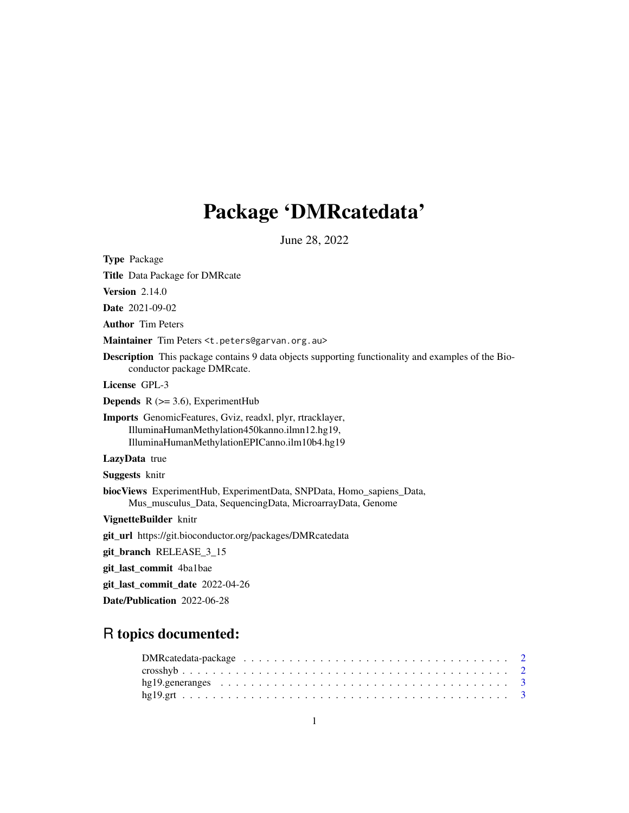## Package 'DMRcatedata'

June 28, 2022

Type Package Title Data Package for DMRcate **Version 2.14.0** Date 2021-09-02 Author Tim Peters Maintainer Tim Peters <t.peters@garvan.org.au> Description This package contains 9 data objects supporting functionality and examples of the Bioconductor package DMRcate. License GPL-3 **Depends**  $R$  ( $>= 3.6$ ), ExperimentHub Imports GenomicFeatures, Gviz, readxl, plyr, rtracklayer, IlluminaHumanMethylation450kanno.ilmn12.hg19, IlluminaHumanMethylationEPICanno.ilm10b4.hg19 LazyData true Suggests knitr biocViews ExperimentHub, ExperimentData, SNPData, Homo\_sapiens\_Data, Mus\_musculus\_Data, SequencingData, MicroarrayData, Genome VignetteBuilder knitr git\_url https://git.bioconductor.org/packages/DMRcatedata git\_branch RELEASE\_3\_15 git\_last\_commit 4ba1bae git\_last\_commit\_date 2022-04-26 Date/Publication 2022-06-28

### R topics documented: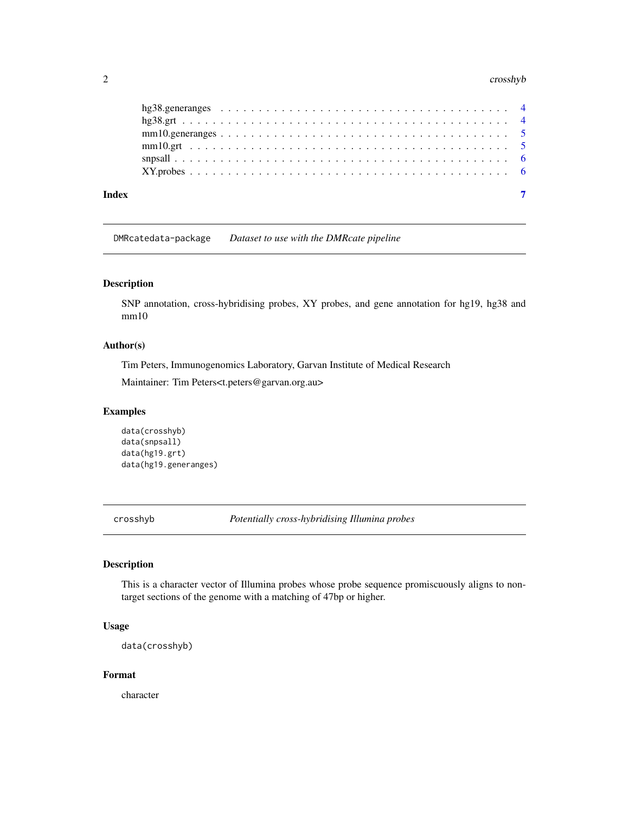#### <span id="page-1-0"></span>2 crosshyb

| Index |  |
|-------|--|

DMRcatedata-package *Dataset to use with the DMRcate pipeline*

#### Description

SNP annotation, cross-hybridising probes, XY probes, and gene annotation for hg19, hg38 and mm10

#### Author(s)

Tim Peters, Immunogenomics Laboratory, Garvan Institute of Medical Research

Maintainer: Tim Peters<t.peters@garvan.org.au>

#### Examples

```
data(crosshyb)
data(snpsall)
data(hg19.grt)
data(hg19.generanges)
```
crosshyb *Potentially cross-hybridising Illumina probes*

#### Description

This is a character vector of Illumina probes whose probe sequence promiscuously aligns to nontarget sections of the genome with a matching of 47bp or higher.

#### Usage

data(crosshyb)

#### Format

character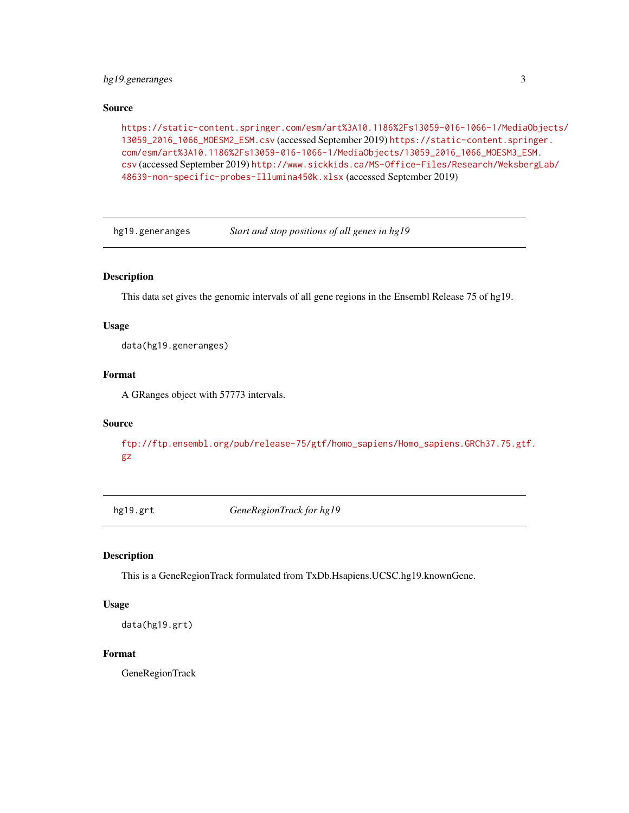#### <span id="page-2-0"></span>hg19.generanges 3

#### Source

[https://static-content.springer.com/esm/art%3A10.1186%2Fs13059-016-1066-1/Media](https://static-content.springer.com/esm/art%3A10.1186%2Fs13059-016-1066-1/MediaObjects/13059_2016_1066_MOESM2_ESM.csv)Objects/ [13059\\_2016\\_1066\\_MOESM2\\_ESM.csv](https://static-content.springer.com/esm/art%3A10.1186%2Fs13059-016-1066-1/MediaObjects/13059_2016_1066_MOESM2_ESM.csv) (accessed September 2019) [https://static-content.spri](https://static-content.springer.com/esm/art%3A10.1186%2Fs13059-016-1066-1/MediaObjects/13059_2016_1066_MOESM3_ESM.csv)nger. [com/esm/art%3A10.1186%2Fs13059-016-1066-1/MediaObjects/13059\\_2016\\_1066\\_MOESM3\\_E](https://static-content.springer.com/esm/art%3A10.1186%2Fs13059-016-1066-1/MediaObjects/13059_2016_1066_MOESM3_ESM.csv)SM. [csv](https://static-content.springer.com/esm/art%3A10.1186%2Fs13059-016-1066-1/MediaObjects/13059_2016_1066_MOESM3_ESM.csv) (accessed September 2019) [http://www.sickkids.ca/MS-Office-Files/Research/Weksbe](http://www.sickkids.ca/MS-Office-Files/Research/Weksberg Lab/48639-non-specific-probes-Illumina450k.xlsx)rgLab/ [48639-non-specific-probes-Illumina450k.xlsx](http://www.sickkids.ca/MS-Office-Files/Research/Weksberg Lab/48639-non-specific-probes-Illumina450k.xlsx) (accessed September 2019)

hg19.generanges *Start and stop positions of all genes in hg19*

#### Description

This data set gives the genomic intervals of all gene regions in the Ensembl Release 75 of hg19.

#### Usage

data(hg19.generanges)

#### Format

A GRanges object with 57773 intervals.

#### Source

```
ftp://ftp.ensembl.org/pub/release-75/gtf/homo_sapiens/Homo_sapiens.GRCh37.75.gtf.
gz
```
hg19.grt *GeneRegionTrack for hg19*

#### Description

This is a GeneRegionTrack formulated from TxDb.Hsapiens.UCSC.hg19.knownGene.

#### Usage

```
data(hg19.grt)
```
#### Format

GeneRegionTrack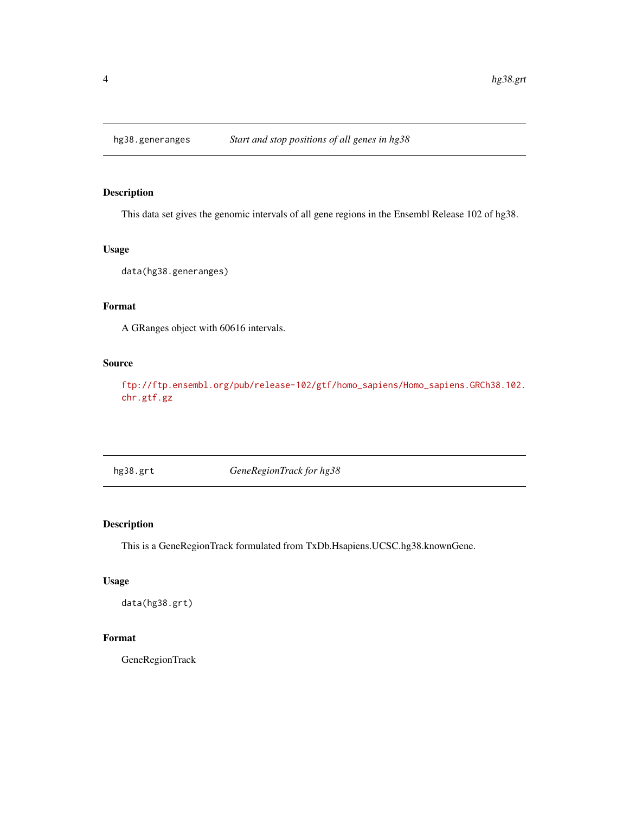<span id="page-3-0"></span>

#### Description

This data set gives the genomic intervals of all gene regions in the Ensembl Release 102 of hg38.

#### Usage

data(hg38.generanges)

#### Format

A GRanges object with 60616 intervals.

#### Source

[ftp://ftp.ensembl.org/pub/release-102/gtf/homo\\_sapiens/Homo\\_sapiens.GRCh38.102.](ftp://ftp.ensembl.org/pub/release-102/gtf/homo_sapiens/Homo_sapiens.GRCh38.102.chr.gtf.gz) [chr.gtf.gz](ftp://ftp.ensembl.org/pub/release-102/gtf/homo_sapiens/Homo_sapiens.GRCh38.102.chr.gtf.gz)

hg38.grt *GeneRegionTrack for hg38*

#### Description

This is a GeneRegionTrack formulated from TxDb.Hsapiens.UCSC.hg38.knownGene.

#### Usage

data(hg38.grt)

#### Format

GeneRegionTrack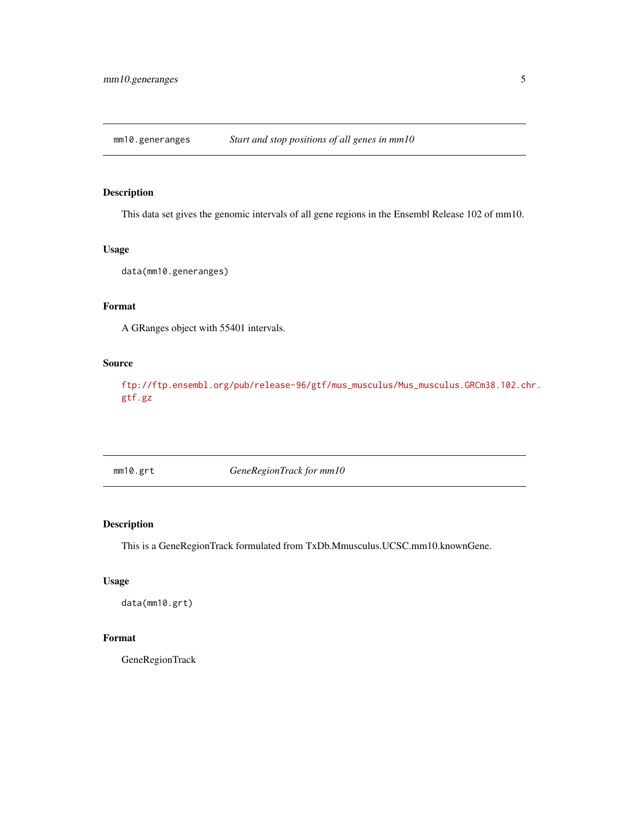<span id="page-4-0"></span>mm10.generanges *Start and stop positions of all genes in mm10*

#### Description

This data set gives the genomic intervals of all gene regions in the Ensembl Release 102 of mm10.

#### Usage

data(mm10.generanges)

#### Format

A GRanges object with 55401 intervals.

#### Source

[ftp://ftp.ensembl.org/pub/release-96/gtf/mus\\_musculus/Mus\\_musculus.GRCm38.102.ch](ftp://ftp.ensembl.org/pub/release-96/gtf/mus_musculus/Mus_musculus.GRCm38.102.chr.gtf.gz)r. [gtf.gz](ftp://ftp.ensembl.org/pub/release-96/gtf/mus_musculus/Mus_musculus.GRCm38.102.chr.gtf.gz)

mm10.grt *GeneRegionTrack for mm10*

#### Description

This is a GeneRegionTrack formulated from TxDb.Mmusculus.UCSC.mm10.knownGene.

#### Usage

data(mm10.grt)

#### Format

GeneRegionTrack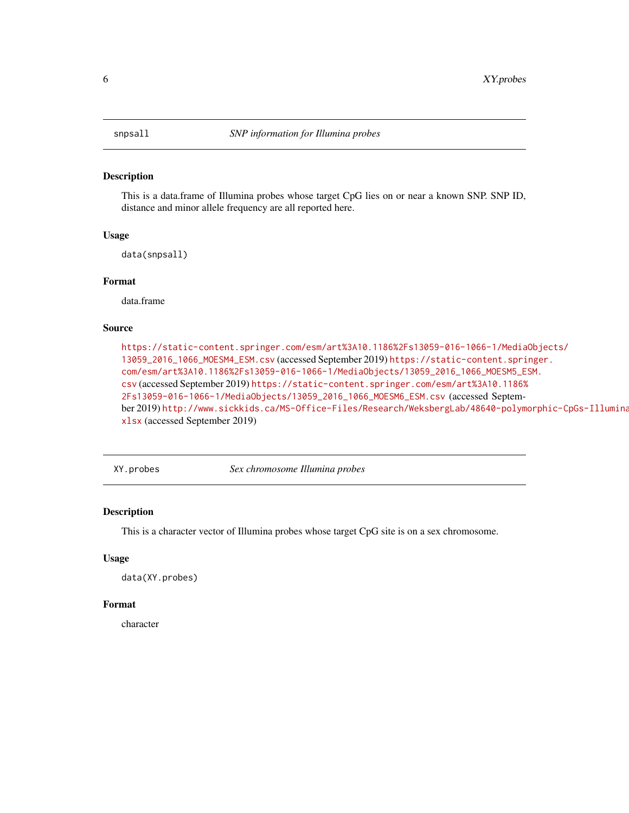<span id="page-5-0"></span>

#### Description

This is a data.frame of Illumina probes whose target CpG lies on or near a known SNP. SNP ID, distance and minor allele frequency are all reported here.

#### Usage

data(snpsall)

#### Format

data.frame

#### Source

[https://static-content.springer.com/esm/art%3A10.1186%2Fs13059-016-1066-1/Media](https://static-content.springer.com/esm/art%3A10.1186%2Fs13059-016-1066-1/MediaObjects/13059_2016_1066_MOESM4_ESM.csv)Objects/ [13059\\_2016\\_1066\\_MOESM4\\_ESM.csv](https://static-content.springer.com/esm/art%3A10.1186%2Fs13059-016-1066-1/MediaObjects/13059_2016_1066_MOESM4_ESM.csv) (accessed September 2019) [https://static-content.spri](https://static-content.springer.com/esm/art%3A10.1186%2Fs13059-016-1066-1/MediaObjects/13059_2016_1066_MOESM5_ESM.csv)nger. [com/esm/art%3A10.1186%2Fs13059-016-1066-1/MediaObjects/13059\\_2016\\_1066\\_MOESM5\\_E](https://static-content.springer.com/esm/art%3A10.1186%2Fs13059-016-1066-1/MediaObjects/13059_2016_1066_MOESM5_ESM.csv)SM. [csv](https://static-content.springer.com/esm/art%3A10.1186%2Fs13059-016-1066-1/MediaObjects/13059_2016_1066_MOESM5_ESM.csv) (accessed September 2019) [https://static-content.springer.com/esm/art%3A10.1186%](https://static-content.springer.com/esm/art%3A10.1186%2Fs13059-016-1066-1/MediaObjects/13059_2016_1066_MOESM6_ESM.csv) [2Fs13059-016-1066-1/MediaObjects/13059\\_2016\\_1066\\_MOESM6\\_ESM.csv](https://static-content.springer.com/esm/art%3A10.1186%2Fs13059-016-1066-1/MediaObjects/13059_2016_1066_MOESM6_ESM.csv) (accessed September 2019) [http://www.sickkids.ca/MS-Office-Files/Research/WeksbergLab/48640-polym](http://www.sickkids.ca/MS-Office-Files/Research/Weksberg Lab/48640-polymorphic-CpGs-Illumina450k.xlsx)orphic-CpGs-Illumina [xlsx](http://www.sickkids.ca/MS-Office-Files/Research/Weksberg Lab/48640-polymorphic-CpGs-Illumina450k.xlsx) (accessed September 2019)

XY.probes *Sex chromosome Illumina probes*

#### Description

This is a character vector of Illumina probes whose target CpG site is on a sex chromosome.

#### Usage

data(XY.probes)

#### Format

character